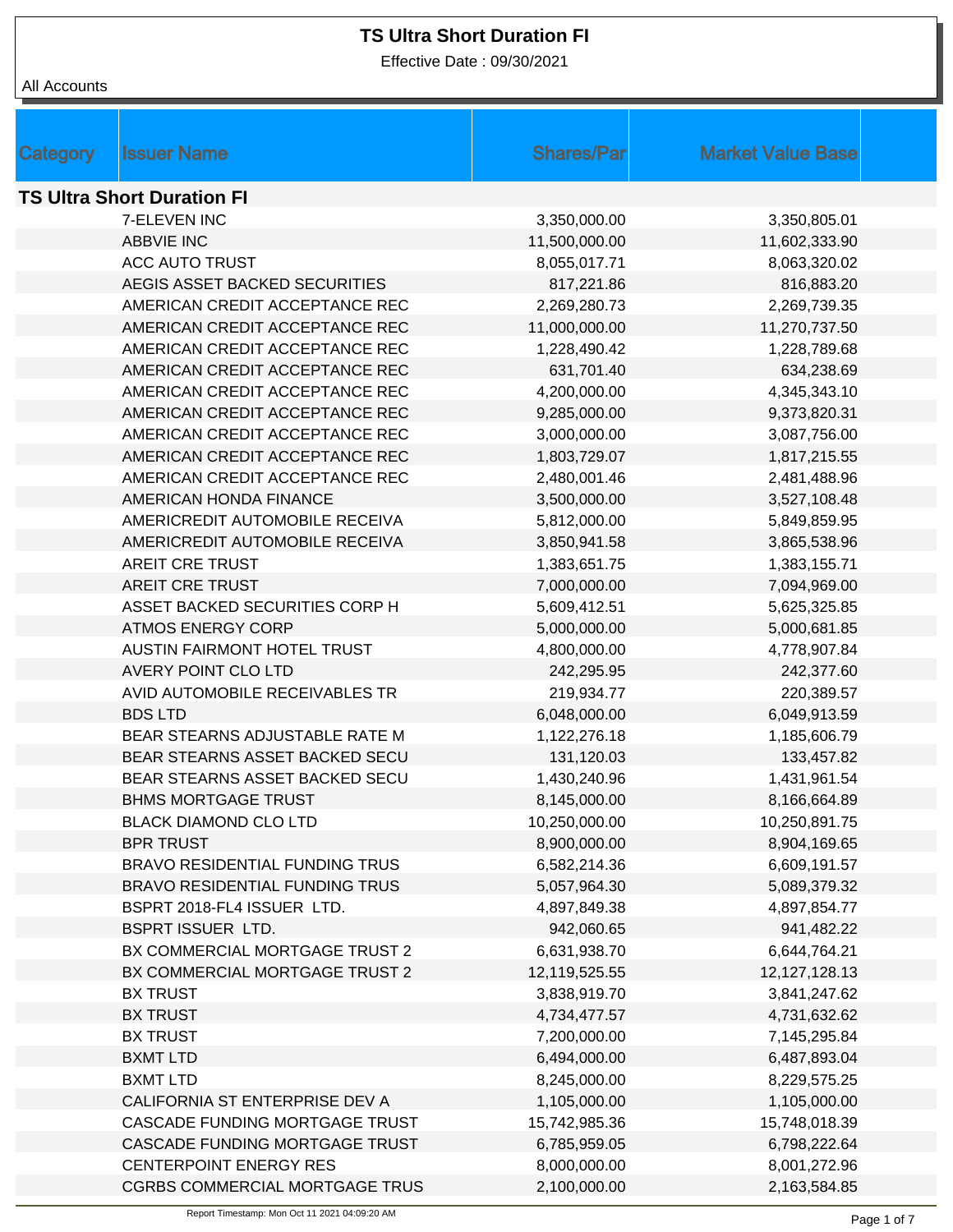Effective Date : 09/30/2021

| Category                          | <b>Issuer Name</b>                    | <b>Shares/Par</b> | <b>Market Value Base</b> |  |
|-----------------------------------|---------------------------------------|-------------------|--------------------------|--|
| <b>TS Ultra Short Duration FI</b> |                                       |                   |                          |  |
|                                   | 7-ELEVEN INC                          | 3,350,000.00      | 3,350,805.01             |  |
|                                   | <b>ABBVIE INC</b>                     | 11,500,000.00     | 11,602,333.90            |  |
|                                   | <b>ACC AUTO TRUST</b>                 | 8,055,017.71      | 8,063,320.02             |  |
|                                   | AEGIS ASSET BACKED SECURITIES         | 817,221.86        | 816,883.20               |  |
|                                   | AMERICAN CREDIT ACCEPTANCE REC        | 2,269,280.73      | 2,269,739.35             |  |
|                                   | AMERICAN CREDIT ACCEPTANCE REC        | 11,000,000.00     | 11,270,737.50            |  |
|                                   | AMERICAN CREDIT ACCEPTANCE REC        | 1,228,490.42      | 1,228,789.68             |  |
|                                   | AMERICAN CREDIT ACCEPTANCE REC        | 631,701.40        | 634,238.69               |  |
|                                   | AMERICAN CREDIT ACCEPTANCE REC        | 4,200,000.00      | 4,345,343.10             |  |
|                                   | AMERICAN CREDIT ACCEPTANCE REC        | 9,285,000.00      | 9,373,820.31             |  |
|                                   | AMERICAN CREDIT ACCEPTANCE REC        | 3,000,000.00      | 3,087,756.00             |  |
|                                   | AMERICAN CREDIT ACCEPTANCE REC        | 1,803,729.07      | 1,817,215.55             |  |
|                                   | AMERICAN CREDIT ACCEPTANCE REC        | 2,480,001.46      | 2,481,488.96             |  |
|                                   | AMERICAN HONDA FINANCE                | 3,500,000.00      | 3,527,108.48             |  |
|                                   | AMERICREDIT AUTOMOBILE RECEIVA        | 5,812,000.00      | 5,849,859.95             |  |
|                                   | AMERICREDIT AUTOMOBILE RECEIVA        | 3,850,941.58      | 3,865,538.96             |  |
|                                   | <b>AREIT CRE TRUST</b>                | 1,383,651.75      | 1,383,155.71             |  |
|                                   | <b>AREIT CRE TRUST</b>                | 7,000,000.00      | 7,094,969.00             |  |
|                                   | ASSET BACKED SECURITIES CORP H        | 5,609,412.51      | 5,625,325.85             |  |
|                                   | <b>ATMOS ENERGY CORP</b>              | 5,000,000.00      | 5,000,681.85             |  |
|                                   | AUSTIN FAIRMONT HOTEL TRUST           | 4,800,000.00      | 4,778,907.84             |  |
|                                   | <b>AVERY POINT CLO LTD</b>            | 242,295.95        | 242,377.60               |  |
|                                   | AVID AUTOMOBILE RECEIVABLES TR        | 219,934.77        | 220,389.57               |  |
|                                   | <b>BDS LTD</b>                        | 6,048,000.00      | 6,049,913.59             |  |
|                                   | BEAR STEARNS ADJUSTABLE RATE M        | 1,122,276.18      | 1,185,606.79             |  |
|                                   | BEAR STEARNS ASSET BACKED SECU        | 131,120.03        | 133,457.82               |  |
|                                   | BEAR STEARNS ASSET BACKED SECU        | 1,430,240.96      | 1,431,961.54             |  |
|                                   | <b>BHMS MORTGAGE TRUST</b>            | 8,145,000.00      | 8,166,664.89             |  |
|                                   | <b>BLACK DIAMOND CLO LTD</b>          | 10,250,000.00     | 10,250,891.75            |  |
|                                   | <b>BPR TRUST</b>                      | 8,900,000.00      | 8,904,169.65             |  |
|                                   | <b>BRAVO RESIDENTIAL FUNDING TRUS</b> | 6,582,214.36      | 6,609,191.57             |  |
|                                   | <b>BRAVO RESIDENTIAL FUNDING TRUS</b> | 5,057,964.30      | 5,089,379.32             |  |
|                                   | BSPRT 2018-FL4 ISSUER LTD.            | 4,897,849.38      | 4,897,854.77             |  |
|                                   | <b>BSPRT ISSUER LTD.</b>              | 942,060.65        | 941,482.22               |  |
|                                   | BX COMMERCIAL MORTGAGE TRUST 2        | 6,631,938.70      | 6,644,764.21             |  |
|                                   | BX COMMERCIAL MORTGAGE TRUST 2        | 12,119,525.55     | 12,127,128.13            |  |
|                                   | <b>BX TRUST</b>                       | 3,838,919.70      | 3,841,247.62             |  |
|                                   | <b>BX TRUST</b>                       | 4,734,477.57      | 4,731,632.62             |  |
|                                   | <b>BX TRUST</b>                       | 7,200,000.00      | 7,145,295.84             |  |
|                                   | <b>BXMT LTD</b>                       | 6,494,000.00      | 6,487,893.04             |  |
|                                   | <b>BXMT LTD</b>                       | 8,245,000.00      | 8,229,575.25             |  |
|                                   | CALIFORNIA ST ENTERPRISE DEV A        | 1,105,000.00      | 1,105,000.00             |  |
|                                   | CASCADE FUNDING MORTGAGE TRUST        | 15,742,985.36     | 15,748,018.39            |  |
|                                   | CASCADE FUNDING MORTGAGE TRUST        | 6,785,959.05      | 6,798,222.64             |  |
|                                   | <b>CENTERPOINT ENERGY RES</b>         | 8,000,000.00      | 8,001,272.96             |  |
|                                   | <b>CGRBS COMMERCIAL MORTGAGE TRUS</b> | 2,100,000.00      | 2,163,584.85             |  |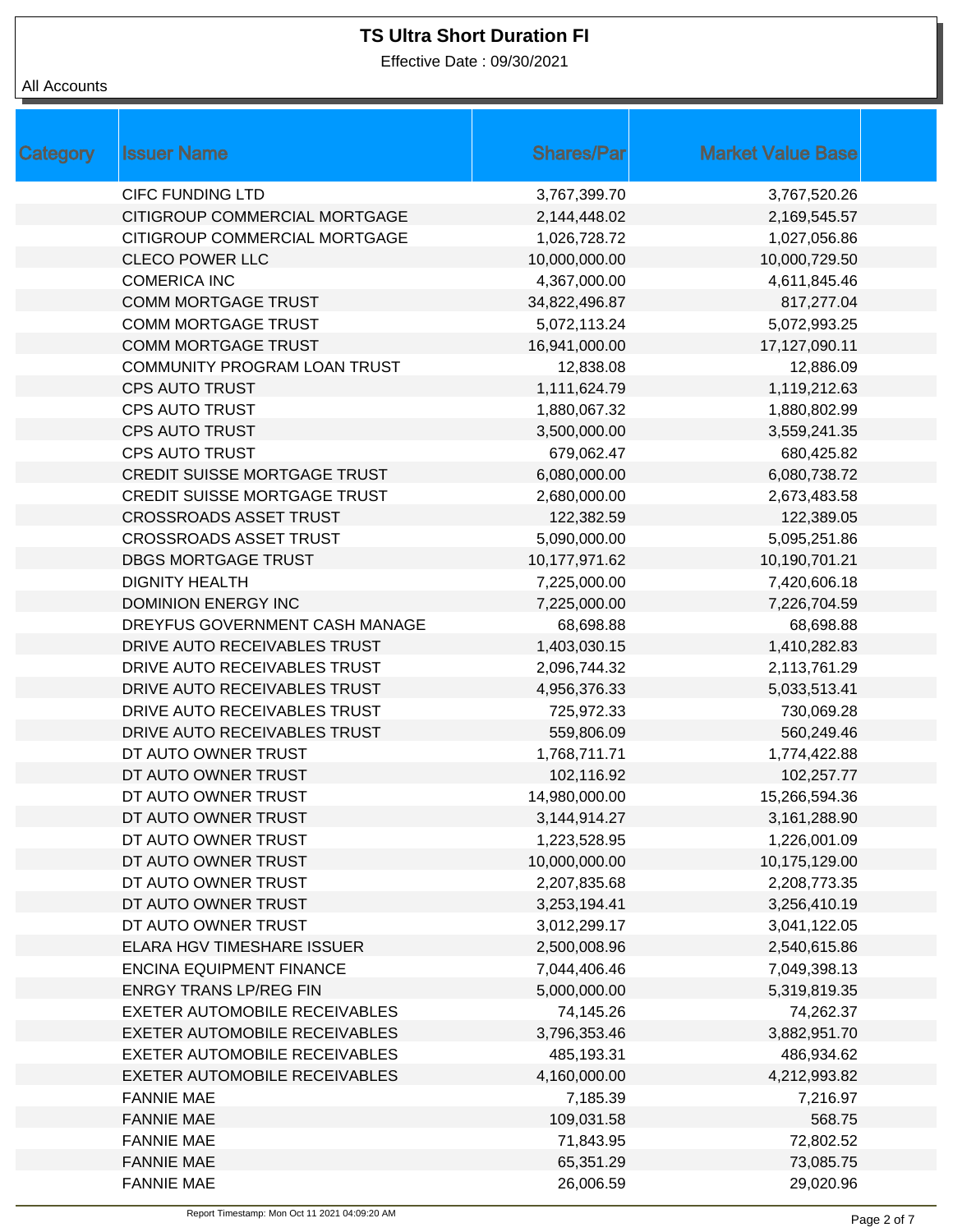Effective Date : 09/30/2021

| <b>Category</b> | <b>Issuer Name</b>                   | <b>Shares/Par</b> | <b>Market Value Base</b> |
|-----------------|--------------------------------------|-------------------|--------------------------|
|                 | <b>CIFC FUNDING LTD</b>              | 3,767,399.70      | 3,767,520.26             |
|                 | CITIGROUP COMMERCIAL MORTGAGE        | 2,144,448.02      | 2,169,545.57             |
|                 | CITIGROUP COMMERCIAL MORTGAGE        | 1,026,728.72      | 1,027,056.86             |
|                 | <b>CLECO POWER LLC</b>               | 10,000,000.00     | 10,000,729.50            |
|                 | <b>COMERICA INC</b>                  | 4,367,000.00      | 4,611,845.46             |
|                 | <b>COMM MORTGAGE TRUST</b>           | 34,822,496.87     | 817,277.04               |
|                 | <b>COMM MORTGAGE TRUST</b>           | 5,072,113.24      | 5,072,993.25             |
|                 | <b>COMM MORTGAGE TRUST</b>           | 16,941,000.00     | 17,127,090.11            |
|                 | COMMUNITY PROGRAM LOAN TRUST         | 12,838.08         | 12,886.09                |
|                 | <b>CPS AUTO TRUST</b>                | 1,111,624.79      | 1,119,212.63             |
|                 | <b>CPS AUTO TRUST</b>                | 1,880,067.32      | 1,880,802.99             |
|                 | <b>CPS AUTO TRUST</b>                | 3,500,000.00      | 3,559,241.35             |
|                 | <b>CPS AUTO TRUST</b>                | 679,062.47        | 680,425.82               |
|                 | <b>CREDIT SUISSE MORTGAGE TRUST</b>  | 6,080,000.00      | 6,080,738.72             |
|                 | <b>CREDIT SUISSE MORTGAGE TRUST</b>  | 2,680,000.00      | 2,673,483.58             |
|                 | <b>CROSSROADS ASSET TRUST</b>        | 122,382.59        | 122,389.05               |
|                 | <b>CROSSROADS ASSET TRUST</b>        | 5,090,000.00      | 5,095,251.86             |
|                 | DBGS MORTGAGE TRUST                  | 10,177,971.62     | 10,190,701.21            |
|                 | <b>DIGNITY HEALTH</b>                | 7,225,000.00      | 7,420,606.18             |
|                 | <b>DOMINION ENERGY INC</b>           | 7,225,000.00      | 7,226,704.59             |
|                 | DREYFUS GOVERNMENT CASH MANAGE       | 68,698.88         | 68,698.88                |
|                 | DRIVE AUTO RECEIVABLES TRUST         | 1,403,030.15      | 1,410,282.83             |
|                 | DRIVE AUTO RECEIVABLES TRUST         | 2,096,744.32      | 2,113,761.29             |
|                 | DRIVE AUTO RECEIVABLES TRUST         | 4,956,376.33      | 5,033,513.41             |
|                 | DRIVE AUTO RECEIVABLES TRUST         | 725,972.33        | 730,069.28               |
|                 | DRIVE AUTO RECEIVABLES TRUST         | 559,806.09        | 560,249.46               |
|                 | DT AUTO OWNER TRUST                  | 1,768,711.71      | 1,774,422.88             |
|                 | DT AUTO OWNER TRUST                  | 102,116.92        | 102,257.77               |
|                 | DT AUTO OWNER TRUST                  | 14,980,000.00     | 15,266,594.36            |
|                 | DT AUTO OWNER TRUST                  | 3,144,914.27      | 3,161,288.90             |
|                 | DT AUTO OWNER TRUST                  | 1,223,528.95      | 1,226,001.09             |
|                 | DT AUTO OWNER TRUST                  | 10,000,000.00     | 10,175,129.00            |
|                 | DT AUTO OWNER TRUST                  | 2,207,835.68      | 2,208,773.35             |
|                 | DT AUTO OWNER TRUST                  | 3,253,194.41      | 3,256,410.19             |
|                 | DT AUTO OWNER TRUST                  | 3,012,299.17      | 3,041,122.05             |
|                 | <b>ELARA HGV TIMESHARE ISSUER</b>    | 2,500,008.96      | 2,540,615.86             |
|                 | <b>ENCINA EQUIPMENT FINANCE</b>      | 7,044,406.46      | 7,049,398.13             |
|                 | <b>ENRGY TRANS LP/REG FIN</b>        | 5,000,000.00      | 5,319,819.35             |
|                 | <b>EXETER AUTOMOBILE RECEIVABLES</b> | 74,145.26         | 74,262.37                |
|                 | <b>EXETER AUTOMOBILE RECEIVABLES</b> | 3,796,353.46      | 3,882,951.70             |
|                 | EXETER AUTOMOBILE RECEIVABLES        | 485,193.31        | 486,934.62               |
|                 | <b>EXETER AUTOMOBILE RECEIVABLES</b> | 4,160,000.00      | 4,212,993.82             |
|                 | <b>FANNIE MAE</b>                    | 7,185.39          | 7,216.97                 |
|                 | <b>FANNIE MAE</b>                    | 109,031.58        | 568.75                   |
|                 | <b>FANNIE MAE</b>                    | 71,843.95         | 72,802.52                |
|                 | <b>FANNIE MAE</b>                    | 65,351.29         | 73,085.75                |
|                 | <b>FANNIE MAE</b>                    | 26,006.59         | 29,020.96                |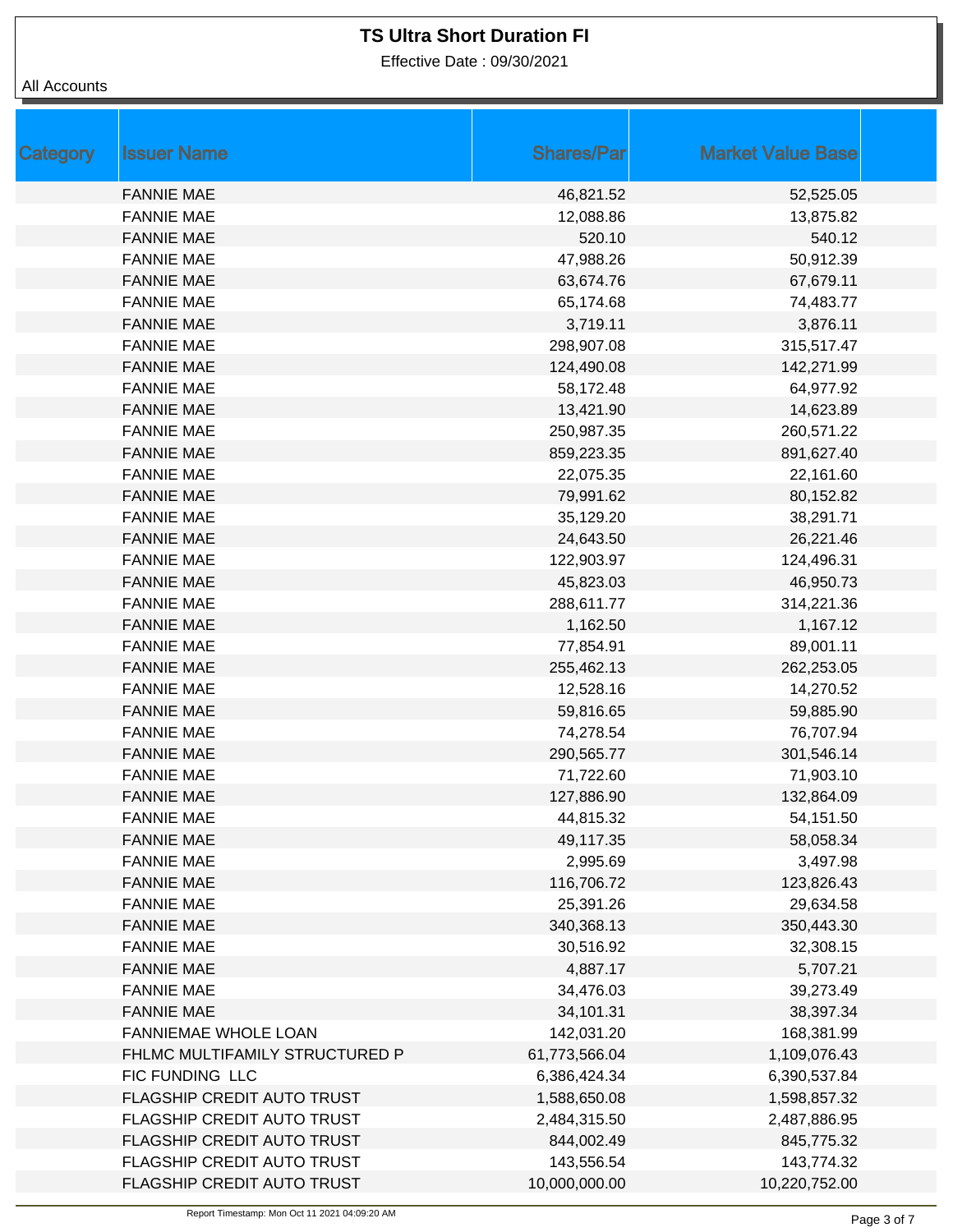Effective Date : 09/30/2021

| Category | <b>Issuer Name</b>             | <b>Shares/Par</b> | <b>Market Value Base</b> |  |
|----------|--------------------------------|-------------------|--------------------------|--|
|          | <b>FANNIE MAE</b>              | 46,821.52         | 52,525.05                |  |
|          | <b>FANNIE MAE</b>              | 12,088.86         | 13,875.82                |  |
|          | <b>FANNIE MAE</b>              | 520.10            | 540.12                   |  |
|          | <b>FANNIE MAE</b>              | 47,988.26         | 50,912.39                |  |
|          | <b>FANNIE MAE</b>              | 63,674.76         | 67,679.11                |  |
|          | <b>FANNIE MAE</b>              | 65,174.68         | 74,483.77                |  |
|          | <b>FANNIE MAE</b>              | 3,719.11          | 3,876.11                 |  |
|          | <b>FANNIE MAE</b>              | 298,907.08        | 315,517.47               |  |
|          | <b>FANNIE MAE</b>              | 124,490.08        | 142,271.99               |  |
|          | <b>FANNIE MAE</b>              | 58,172.48         | 64,977.92                |  |
|          | <b>FANNIE MAE</b>              | 13,421.90         | 14,623.89                |  |
|          | <b>FANNIE MAE</b>              | 250,987.35        | 260,571.22               |  |
|          | <b>FANNIE MAE</b>              | 859,223.35        | 891,627.40               |  |
|          | <b>FANNIE MAE</b>              | 22,075.35         | 22,161.60                |  |
|          | <b>FANNIE MAE</b>              | 79,991.62         | 80,152.82                |  |
|          | <b>FANNIE MAE</b>              | 35,129.20         | 38,291.71                |  |
|          | <b>FANNIE MAE</b>              | 24,643.50         | 26,221.46                |  |
|          | <b>FANNIE MAE</b>              | 122,903.97        | 124,496.31               |  |
|          | <b>FANNIE MAE</b>              | 45,823.03         | 46,950.73                |  |
|          | <b>FANNIE MAE</b>              | 288,611.77        | 314,221.36               |  |
|          | <b>FANNIE MAE</b>              | 1,162.50          | 1,167.12                 |  |
|          | <b>FANNIE MAE</b>              | 77,854.91         | 89,001.11                |  |
|          | <b>FANNIE MAE</b>              | 255,462.13        | 262,253.05               |  |
|          | <b>FANNIE MAE</b>              | 12,528.16         | 14,270.52                |  |
|          | <b>FANNIE MAE</b>              | 59,816.65         | 59,885.90                |  |
|          | <b>FANNIE MAE</b>              | 74,278.54         | 76,707.94                |  |
|          | <b>FANNIE MAE</b>              | 290,565.77        | 301,546.14               |  |
|          | <b>FANNIE MAE</b>              | 71,722.60         | 71,903.10                |  |
|          | <b>FANNIE MAE</b>              | 127,886.90        | 132,864.09               |  |
|          | <b>FANNIE MAE</b>              | 44,815.32         | 54,151.50                |  |
|          | <b>FANNIE MAE</b>              | 49,117.35         | 58,058.34                |  |
|          | <b>FANNIE MAE</b>              | 2,995.69          | 3,497.98                 |  |
|          | <b>FANNIE MAE</b>              | 116,706.72        | 123,826.43               |  |
|          | <b>FANNIE MAE</b>              | 25,391.26         | 29,634.58                |  |
|          | <b>FANNIE MAE</b>              | 340,368.13        | 350,443.30               |  |
|          | <b>FANNIE MAE</b>              | 30,516.92         | 32,308.15                |  |
|          | <b>FANNIE MAE</b>              | 4,887.17          | 5,707.21                 |  |
|          | <b>FANNIE MAE</b>              | 34,476.03         | 39,273.49                |  |
|          | <b>FANNIE MAE</b>              | 34,101.31         | 38,397.34                |  |
|          | FANNIEMAE WHOLE LOAN           | 142,031.20        | 168,381.99               |  |
|          | FHLMC MULTIFAMILY STRUCTURED P | 61,773,566.04     | 1,109,076.43             |  |
|          | FIC FUNDING LLC                | 6,386,424.34      | 6,390,537.84             |  |
|          | FLAGSHIP CREDIT AUTO TRUST     | 1,588,650.08      | 1,598,857.32             |  |
|          | FLAGSHIP CREDIT AUTO TRUST     | 2,484,315.50      | 2,487,886.95             |  |
|          | FLAGSHIP CREDIT AUTO TRUST     | 844,002.49        | 845,775.32               |  |
|          | FLAGSHIP CREDIT AUTO TRUST     | 143,556.54        | 143,774.32               |  |
|          | FLAGSHIP CREDIT AUTO TRUST     | 10,000,000.00     | 10,220,752.00            |  |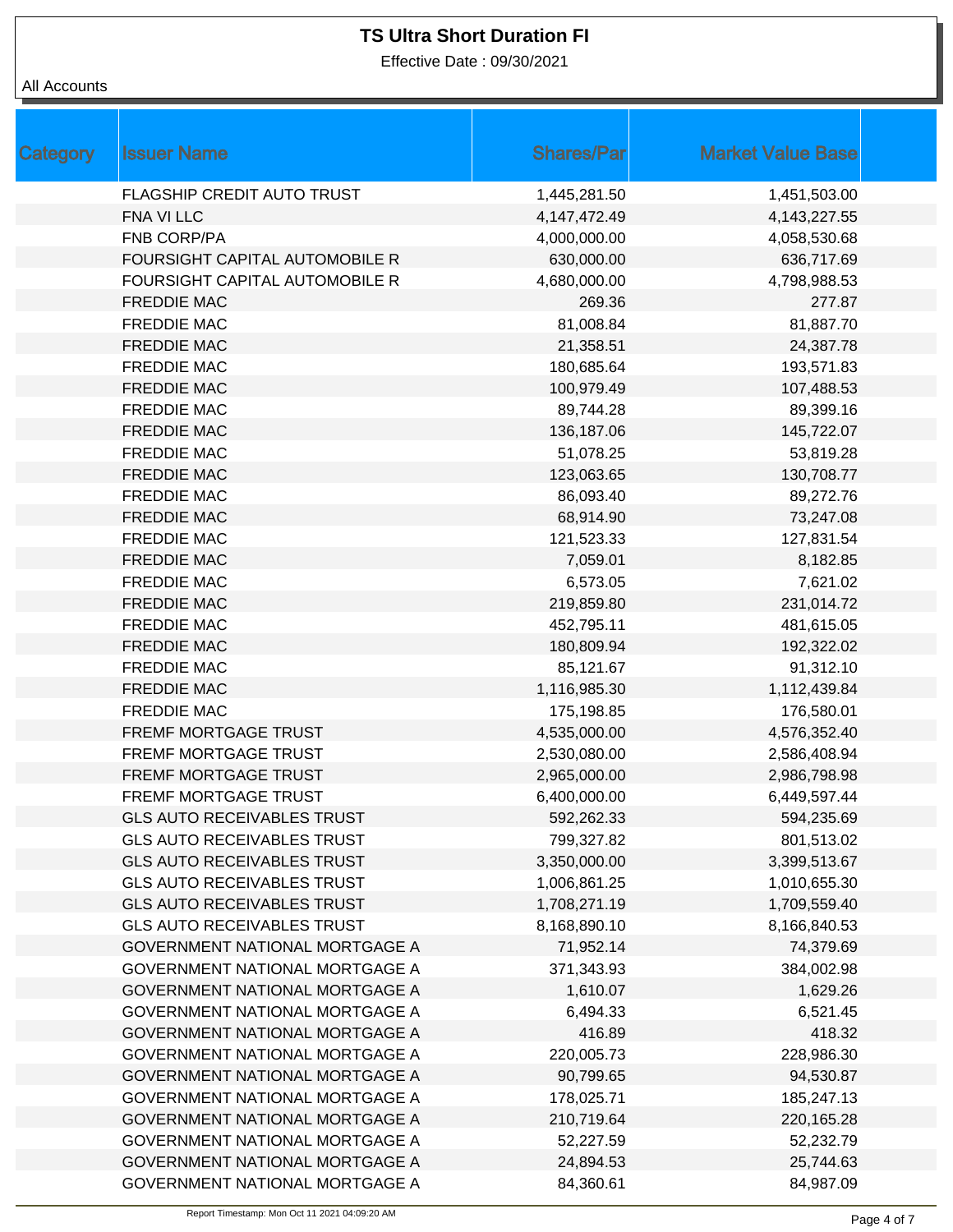Effective Date : 09/30/2021

| Category | <b>Issuer Name</b>                | <b>Shares/Par</b> | <b>Market Value Base</b> |
|----------|-----------------------------------|-------------------|--------------------------|
|          | FLAGSHIP CREDIT AUTO TRUST        | 1,445,281.50      | 1,451,503.00             |
|          | FNA VI LLC                        | 4, 147, 472. 49   | 4, 143, 227. 55          |
|          | <b>FNB CORP/PA</b>                | 4,000,000.00      | 4,058,530.68             |
|          | FOURSIGHT CAPITAL AUTOMOBILE R    | 630,000.00        | 636,717.69               |
|          | FOURSIGHT CAPITAL AUTOMOBILE R    | 4,680,000.00      | 4,798,988.53             |
|          | <b>FREDDIE MAC</b>                | 269.36            | 277.87                   |
|          | <b>FREDDIE MAC</b>                | 81,008.84         | 81,887.70                |
|          | <b>FREDDIE MAC</b>                | 21,358.51         | 24,387.78                |
|          | <b>FREDDIE MAC</b>                | 180,685.64        | 193,571.83               |
|          | <b>FREDDIE MAC</b>                | 100,979.49        | 107,488.53               |
|          | <b>FREDDIE MAC</b>                | 89,744.28         | 89,399.16                |
|          | <b>FREDDIE MAC</b>                | 136,187.06        | 145,722.07               |
|          | <b>FREDDIE MAC</b>                | 51,078.25         | 53,819.28                |
|          | <b>FREDDIE MAC</b>                | 123,063.65        | 130,708.77               |
|          | <b>FREDDIE MAC</b>                | 86,093.40         | 89,272.76                |
|          | <b>FREDDIE MAC</b>                | 68,914.90         | 73,247.08                |
|          | <b>FREDDIE MAC</b>                | 121,523.33        | 127,831.54               |
|          | <b>FREDDIE MAC</b>                | 7,059.01          | 8,182.85                 |
|          | <b>FREDDIE MAC</b>                | 6,573.05          | 7,621.02                 |
|          | <b>FREDDIE MAC</b>                | 219,859.80        | 231,014.72               |
|          | <b>FREDDIE MAC</b>                | 452,795.11        | 481,615.05               |
|          | <b>FREDDIE MAC</b>                | 180,809.94        | 192,322.02               |
|          | <b>FREDDIE MAC</b>                | 85,121.67         | 91,312.10                |
|          | <b>FREDDIE MAC</b>                | 1,116,985.30      | 1,112,439.84             |
|          | <b>FREDDIE MAC</b>                | 175,198.85        | 176,580.01               |
|          | FREMF MORTGAGE TRUST              | 4,535,000.00      | 4,576,352.40             |
|          | <b>FREMF MORTGAGE TRUST</b>       | 2,530,080.00      | 2,586,408.94             |
|          | FREMF MORTGAGE TRUST              | 2,965,000.00      | 2,986,798.98             |
|          | <b>FREMF MORTGAGE TRUST</b>       | 6,400,000.00      | 6,449,597.44             |
|          | GLS AUTO RECEIVABLES TRUST        | 592,262.33        | 594,235.69               |
|          | <b>GLS AUTO RECEIVABLES TRUST</b> | 799,327.82        | 801,513.02               |
|          | <b>GLS AUTO RECEIVABLES TRUST</b> | 3,350,000.00      | 3,399,513.67             |
|          | <b>GLS AUTO RECEIVABLES TRUST</b> | 1,006,861.25      | 1,010,655.30             |
|          | <b>GLS AUTO RECEIVABLES TRUST</b> | 1,708,271.19      | 1,709,559.40             |
|          | <b>GLS AUTO RECEIVABLES TRUST</b> | 8,168,890.10      | 8,166,840.53             |
|          | GOVERNMENT NATIONAL MORTGAGE A    | 71,952.14         | 74,379.69                |
|          | GOVERNMENT NATIONAL MORTGAGE A    | 371,343.93        | 384,002.98               |
|          | GOVERNMENT NATIONAL MORTGAGE A    | 1,610.07          | 1,629.26                 |
|          | GOVERNMENT NATIONAL MORTGAGE A    | 6,494.33          | 6,521.45                 |
|          | GOVERNMENT NATIONAL MORTGAGE A    | 416.89            | 418.32                   |
|          | GOVERNMENT NATIONAL MORTGAGE A    | 220,005.73        | 228,986.30               |
|          | GOVERNMENT NATIONAL MORTGAGE A    | 90,799.65         | 94,530.87                |
|          | GOVERNMENT NATIONAL MORTGAGE A    | 178,025.71        | 185,247.13               |
|          | GOVERNMENT NATIONAL MORTGAGE A    | 210,719.64        | 220,165.28               |
|          | GOVERNMENT NATIONAL MORTGAGE A    | 52,227.59         | 52,232.79                |
|          | GOVERNMENT NATIONAL MORTGAGE A    | 24,894.53         | 25,744.63                |
|          | GOVERNMENT NATIONAL MORTGAGE A    | 84,360.61         | 84,987.09                |
|          |                                   |                   |                          |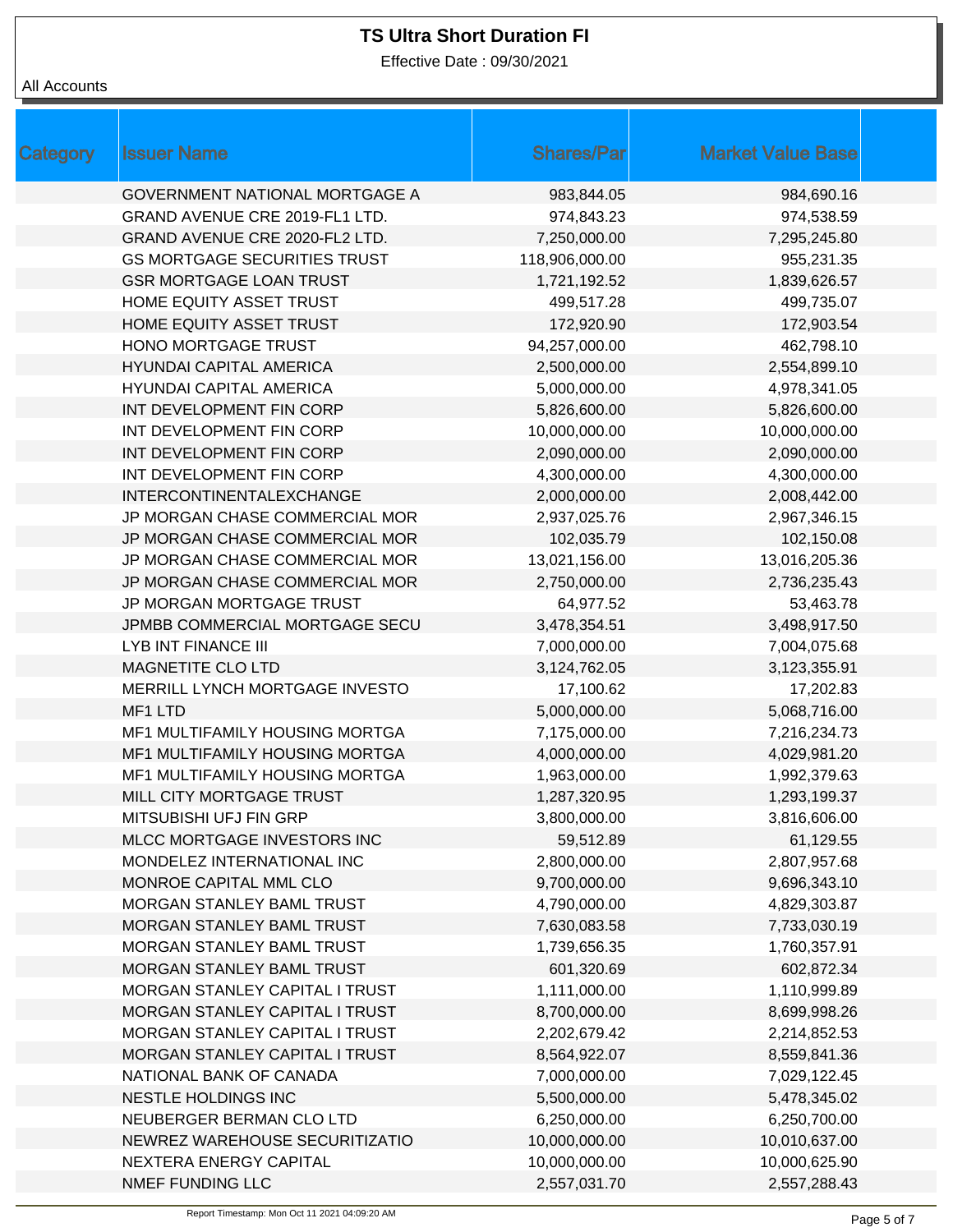Effective Date : 09/30/2021

| Category | <b>Issuer Name</b>                    | <b>Shares/Par</b> | <b>Market Value Base</b> |
|----------|---------------------------------------|-------------------|--------------------------|
|          |                                       |                   |                          |
|          | <b>GOVERNMENT NATIONAL MORTGAGE A</b> | 983,844.05        | 984,690.16               |
|          | GRAND AVENUE CRE 2019-FL1 LTD.        | 974,843.23        | 974,538.59               |
|          | GRAND AVENUE CRE 2020-FL2 LTD.        | 7,250,000.00      | 7,295,245.80             |
|          | <b>GS MORTGAGE SECURITIES TRUST</b>   | 118,906,000.00    | 955,231.35               |
|          | <b>GSR MORTGAGE LOAN TRUST</b>        | 1,721,192.52      | 1,839,626.57             |
|          | HOME EQUITY ASSET TRUST               | 499,517.28        | 499,735.07               |
|          | HOME EQUITY ASSET TRUST               | 172,920.90        | 172,903.54               |
|          | HONO MORTGAGE TRUST                   | 94,257,000.00     | 462,798.10               |
|          | <b>HYUNDAI CAPITAL AMERICA</b>        | 2,500,000.00      | 2,554,899.10             |
|          | <b>HYUNDAI CAPITAL AMERICA</b>        | 5,000,000.00      | 4,978,341.05             |
|          | INT DEVELOPMENT FIN CORP              | 5,826,600.00      | 5,826,600.00             |
|          | INT DEVELOPMENT FIN CORP              | 10,000,000.00     | 10,000,000.00            |
|          | INT DEVELOPMENT FIN CORP              | 2,090,000.00      | 2,090,000.00             |
|          | INT DEVELOPMENT FIN CORP              | 4,300,000.00      | 4,300,000.00             |
|          | INTERCONTINENTALEXCHANGE              | 2,000,000.00      | 2,008,442.00             |
|          | JP MORGAN CHASE COMMERCIAL MOR        | 2,937,025.76      | 2,967,346.15             |
|          | JP MORGAN CHASE COMMERCIAL MOR        | 102,035.79        | 102,150.08               |
|          | JP MORGAN CHASE COMMERCIAL MOR        | 13,021,156.00     | 13,016,205.36            |
|          | JP MORGAN CHASE COMMERCIAL MOR        | 2,750,000.00      | 2,736,235.43             |
|          | JP MORGAN MORTGAGE TRUST              | 64,977.52         | 53,463.78                |
|          | JPMBB COMMERCIAL MORTGAGE SECU        | 3,478,354.51      | 3,498,917.50             |
|          | <b>LYB INT FINANCE III</b>            | 7,000,000.00      | 7,004,075.68             |
|          | MAGNETITE CLO LTD                     | 3,124,762.05      | 3,123,355.91             |
|          | MERRILL LYNCH MORTGAGE INVESTO        | 17,100.62         | 17,202.83                |
|          | MF1 LTD                               | 5,000,000.00      | 5,068,716.00             |
|          | MF1 MULTIFAMILY HOUSING MORTGA        | 7,175,000.00      | 7,216,234.73             |
|          | MF1 MULTIFAMILY HOUSING MORTGA        | 4,000,000.00      | 4,029,981.20             |
|          | MF1 MULTIFAMILY HOUSING MORTGA        | 1,963,000.00      | 1,992,379.63             |
|          | MILL CITY MORTGAGE TRUST              | 1,287,320.95      | 1,293,199.37             |
|          | MITSUBISHI UFJ FIN GRP                | 3,800,000.00      | 3,816,606.00             |
|          | MLCC MORTGAGE INVESTORS INC           | 59,512.89         | 61,129.55                |
|          | MONDELEZ INTERNATIONAL INC            | 2,800,000.00      | 2,807,957.68             |
|          | MONROE CAPITAL MML CLO                | 9,700,000.00      | 9,696,343.10             |
|          | MORGAN STANLEY BAML TRUST             | 4,790,000.00      | 4,829,303.87             |
|          | MORGAN STANLEY BAML TRUST             | 7,630,083.58      | 7,733,030.19             |
|          | MORGAN STANLEY BAML TRUST             | 1,739,656.35      | 1,760,357.91             |
|          | MORGAN STANLEY BAML TRUST             | 601,320.69        | 602,872.34               |
|          | MORGAN STANLEY CAPITAL I TRUST        | 1,111,000.00      | 1,110,999.89             |
|          | MORGAN STANLEY CAPITAL I TRUST        | 8,700,000.00      | 8,699,998.26             |
|          | MORGAN STANLEY CAPITAL I TRUST        | 2,202,679.42      | 2,214,852.53             |
|          | MORGAN STANLEY CAPITAL I TRUST        | 8,564,922.07      | 8,559,841.36             |
|          | NATIONAL BANK OF CANADA               | 7,000,000.00      | 7,029,122.45             |
|          | NESTLE HOLDINGS INC                   | 5,500,000.00      | 5,478,345.02             |
|          | NEUBERGER BERMAN CLO LTD              | 6,250,000.00      | 6,250,700.00             |
|          | NEWREZ WAREHOUSE SECURITIZATIO        | 10,000,000.00     | 10,010,637.00            |
|          | NEXTERA ENERGY CAPITAL                | 10,000,000.00     | 10,000,625.90            |
|          | NMEF FUNDING LLC                      | 2,557,031.70      | 2,557,288.43             |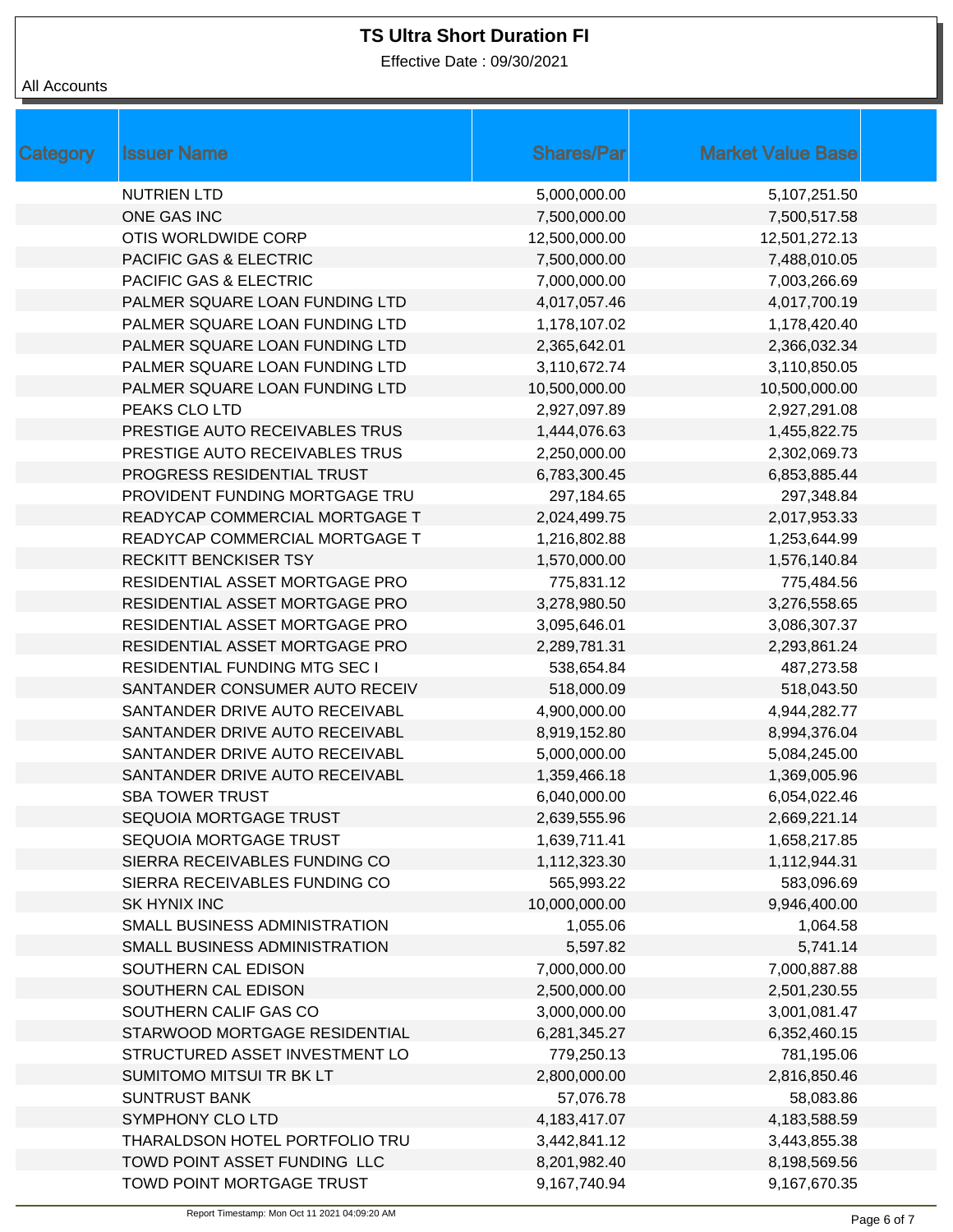Effective Date : 09/30/2021

| Category | <b>Issuer Name</b>                   | <b>Shares/Par</b> | <b>Market Value Base</b> |
|----------|--------------------------------------|-------------------|--------------------------|
|          | <b>NUTRIEN LTD</b>                   | 5,000,000.00      | 5,107,251.50             |
|          | ONE GAS INC                          | 7,500,000.00      | 7,500,517.58             |
|          | OTIS WORLDWIDE CORP                  | 12,500,000.00     | 12,501,272.13            |
|          | PACIFIC GAS & ELECTRIC               | 7,500,000.00      | 7,488,010.05             |
|          | PACIFIC GAS & ELECTRIC               | 7,000,000.00      | 7,003,266.69             |
|          | PALMER SQUARE LOAN FUNDING LTD       | 4,017,057.46      | 4,017,700.19             |
|          | PALMER SQUARE LOAN FUNDING LTD       | 1,178,107.02      | 1,178,420.40             |
|          | PALMER SQUARE LOAN FUNDING LTD       | 2,365,642.01      | 2,366,032.34             |
|          | PALMER SQUARE LOAN FUNDING LTD       | 3,110,672.74      | 3,110,850.05             |
|          | PALMER SQUARE LOAN FUNDING LTD       | 10,500,000.00     | 10,500,000.00            |
|          | PEAKS CLO LTD                        | 2,927,097.89      | 2,927,291.08             |
|          | PRESTIGE AUTO RECEIVABLES TRUS       | 1,444,076.63      | 1,455,822.75             |
|          | PRESTIGE AUTO RECEIVABLES TRUS       | 2,250,000.00      | 2,302,069.73             |
|          | PROGRESS RESIDENTIAL TRUST           | 6,783,300.45      | 6,853,885.44             |
|          | PROVIDENT FUNDING MORTGAGE TRU       | 297,184.65        | 297,348.84               |
|          | READYCAP COMMERCIAL MORTGAGE T       | 2,024,499.75      | 2,017,953.33             |
|          | READYCAP COMMERCIAL MORTGAGE T       | 1,216,802.88      | 1,253,644.99             |
|          | <b>RECKITT BENCKISER TSY</b>         | 1,570,000.00      | 1,576,140.84             |
|          | RESIDENTIAL ASSET MORTGAGE PRO       | 775,831.12        | 775,484.56               |
|          | RESIDENTIAL ASSET MORTGAGE PRO       | 3,278,980.50      | 3,276,558.65             |
|          | RESIDENTIAL ASSET MORTGAGE PRO       | 3,095,646.01      | 3,086,307.37             |
|          | RESIDENTIAL ASSET MORTGAGE PRO       | 2,289,781.31      | 2,293,861.24             |
|          | <b>RESIDENTIAL FUNDING MTG SEC I</b> | 538,654.84        | 487,273.58               |
|          | SANTANDER CONSUMER AUTO RECEIV       | 518,000.09        | 518,043.50               |
|          | SANTANDER DRIVE AUTO RECEIVABL       | 4,900,000.00      | 4,944,282.77             |
|          | SANTANDER DRIVE AUTO RECEIVABL       | 8,919,152.80      | 8,994,376.04             |
|          | SANTANDER DRIVE AUTO RECEIVABL       | 5,000,000.00      | 5,084,245.00             |
|          | SANTANDER DRIVE AUTO RECEIVABL       | 1,359,466.18      | 1,369,005.96             |
|          | <b>SBA TOWER TRUST</b>               | 6,040,000.00      | 6,054,022.46             |
|          | SEQUOIA MORTGAGE TRUST               | 2,639,555.96      | 2,669,221.14             |
|          | SEQUOIA MORTGAGE TRUST               | 1,639,711.41      | 1,658,217.85             |
|          | SIERRA RECEIVABLES FUNDING CO        | 1,112,323.30      | 1,112,944.31             |
|          | SIERRA RECEIVABLES FUNDING CO        | 565,993.22        | 583,096.69               |
|          | SK HYNIX INC                         | 10,000,000.00     | 9,946,400.00             |
|          | SMALL BUSINESS ADMINISTRATION        | 1,055.06          | 1,064.58                 |
|          | SMALL BUSINESS ADMINISTRATION        | 5,597.82          | 5,741.14                 |
|          | SOUTHERN CAL EDISON                  | 7,000,000.00      | 7,000,887.88             |
|          | SOUTHERN CAL EDISON                  | 2,500,000.00      | 2,501,230.55             |
|          | SOUTHERN CALIF GAS CO                | 3,000,000.00      | 3,001,081.47             |
|          | STARWOOD MORTGAGE RESIDENTIAL        | 6,281,345.27      | 6,352,460.15             |
|          | STRUCTURED ASSET INVESTMENT LO       | 779,250.13        | 781,195.06               |
|          | SUMITOMO MITSUI TR BK LT             | 2,800,000.00      | 2,816,850.46             |
|          | <b>SUNTRUST BANK</b>                 | 57,076.78         | 58,083.86                |
|          | SYMPHONY CLO LTD                     | 4,183,417.07      | 4,183,588.59             |
|          | THARALDSON HOTEL PORTFOLIO TRU       | 3,442,841.12      | 3,443,855.38             |
|          | TOWD POINT ASSET FUNDING LLC         | 8,201,982.40      | 8,198,569.56             |
|          | TOWD POINT MORTGAGE TRUST            | 9,167,740.94      | 9,167,670.35             |